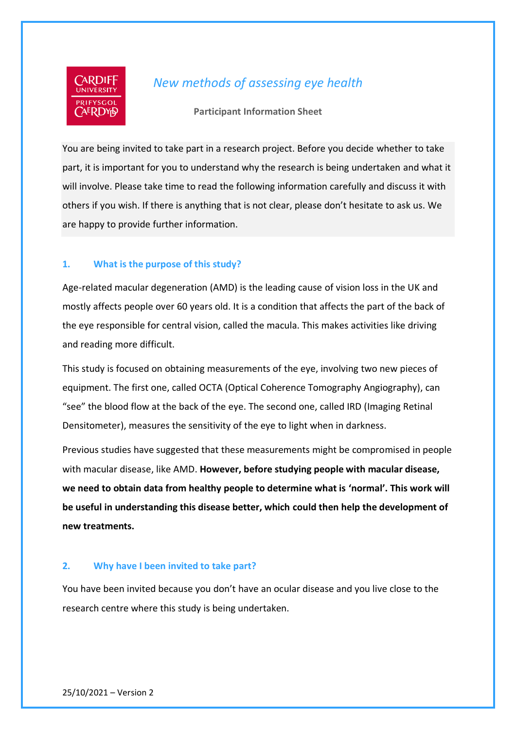

# *New methods of assessing eye health*

**Participant Information Sheet**

You are being invited to take part in a research project. Before you decide whether to take part, it is important for you to understand why the research is being undertaken and what it will involve. Please take time to read the following information carefully and discuss it with others if you wish. If there is anything that is not clear, please don't hesitate to ask us. We are happy to provide further information.

## **1. What is the purpose of this study?**

Age-related macular degeneration (AMD) is the leading cause of vision loss in the UK and mostly affects people over 60 years old. It is a condition that affects the part of the back of the eye responsible for central vision, called the macula. This makes activities like driving and reading more difficult.

This study is focused on obtaining measurements of the eye, involving two new pieces of equipment. The first one, called OCTA (Optical Coherence Tomography Angiography), can "see" the blood flow at the back of the eye. The second one, called IRD (Imaging Retinal Densitometer), measures the sensitivity of the eye to light when in darkness.

Previous studies have suggested that these measurements might be compromised in people with macular disease, like AMD. **However, before studying people with macular disease, we need to obtain data from healthy people to determine what is 'normal'. This work will be useful in understanding this disease better, which could then help the development of new treatments.**

#### **2. Why have I been invited to take part?**

You have been invited because you don't have an ocular disease and you live close to the research centre where this study is being undertaken.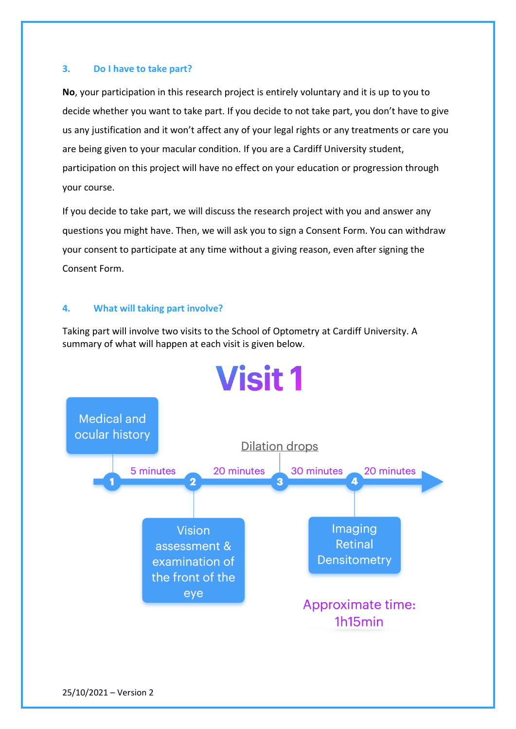#### **3. Do I have to take part?**

**No**, your participation in this research project is entirely voluntary and it is up to you to decide whether you want to take part. If you decide to not take part, you don't have to give us any justification and it won't affect any of your legal rights or any treatments or care you are being given to your macular condition. If you are a Cardiff University student, participation on this project will have no effect on your education or progression through your course.

If you decide to take part, we will discuss the research project with you and answer any questions you might have. Then, we will ask you to sign a Consent Form. You can withdraw your consent to participate at any time without a giving reason, even after signing the Consent Form.

## **4. What will taking part involve?**

Taking part will involve two visits to the School of Optometry at Cardiff University. A summary of what will happen at each visit is given below.

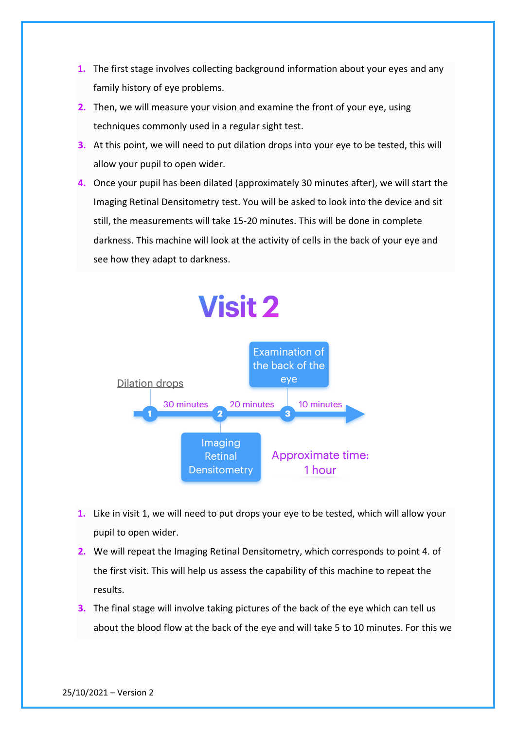- **1.** The first stage involves collecting background information about your eyes and any family history of eye problems.
- **2.** Then, we will measure your vision and examine the front of your eye, using techniques commonly used in a regular sight test.
- **3.** At this point, we will need to put dilation drops into your eye to be tested, this will allow your pupil to open wider.
- **4.** Once your pupil has been dilated (approximately 30 minutes after), we will start the Imaging Retinal Densitometry test. You will be asked to look into the device and sit still, the measurements will take 15-20 minutes. This will be done in complete darkness. This machine will look at the activity of cells in the back of your eye and see how they adapt to darkness.



- **1.** Like in visit 1, we will need to put drops your eye to be tested, which will allow your pupil to open wider.
- **2.** We will repeat the Imaging Retinal Densitometry, which corresponds to point 4. of the first visit. This will help us assess the capability of this machine to repeat the results.
- **3.** The final stage will involve taking pictures of the back of the eye which can tell us about the blood flow at the back of the eye and will take 5 to 10 minutes. For this we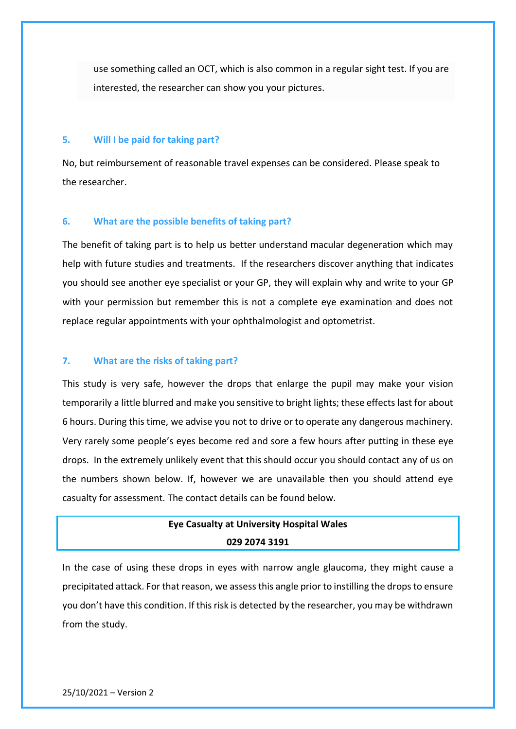use something called an OCT, which is also common in a regular sight test. If you are interested, the researcher can show you your pictures.

#### **5. Will I be paid for taking part?**

No, but reimbursement of reasonable travel expenses can be considered. Please speak to the researcher.

#### **6. What are the possible benefits of taking part?**

The benefit of taking part is to help us better understand macular degeneration which may help with future studies and treatments. If the researchers discover anything that indicates you should see another eye specialist or your GP, they will explain why and write to your GP with your permission but remember this is not a complete eye examination and does not replace regular appointments with your ophthalmologist and optometrist.

#### **7. What are the risks of taking part?**

This study is very safe, however the drops that enlarge the pupil may make your vision temporarily a little blurred and make you sensitive to bright lights; these effects last for about 6 hours. During this time, we advise you not to drive or to operate any dangerous machinery. Very rarely some people's eyes become red and sore a few hours after putting in these eye drops. In the extremely unlikely event that this should occur you should contact any of us on the numbers shown below. If, however we are unavailable then you should attend eye casualty for assessment. The contact details can be found below.

# **Eye Casualty at University Hospital Wales 029 2074 3191**

In the case of using these drops in eyes with narrow angle glaucoma, they might cause a precipitated attack. For that reason, we assess this angle prior to instilling the drops to ensure you don't have this condition. If this risk is detected by the researcher, you may be withdrawn from the study.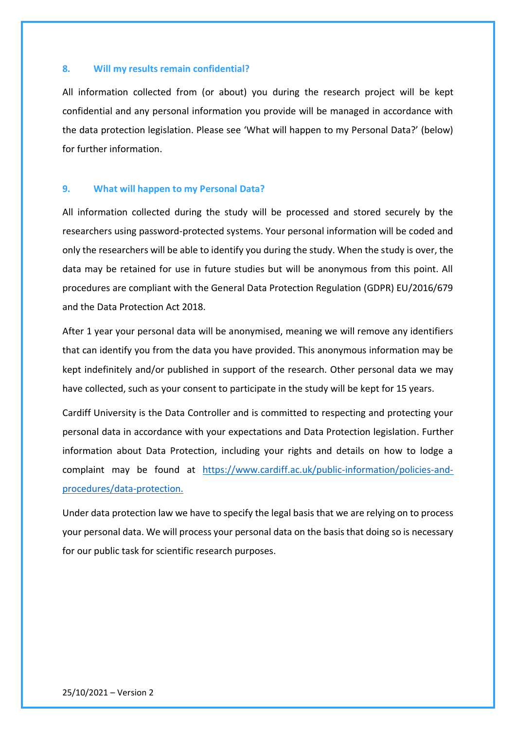#### **8. Will my results remain confidential?**

All information collected from (or about) you during the research project will be kept confidential and any personal information you provide will be managed in accordance with the data protection legislation. Please see 'What will happen to my Personal Data?' (below) for further information.

#### **9. What will happen to my Personal Data?**

All information collected during the study will be processed and stored securely by the researchers using password-protected systems. Your personal information will be coded and only the researchers will be able to identify you during the study. When the study is over, the data may be retained for use in future studies but will be anonymous from this point. All procedures are compliant with the General Data Protection Regulation (GDPR) EU/2016/679 and the Data Protection Act 2018.

After 1 year your personal data will be anonymised, meaning we will remove any identifiers that can identify you from the data you have provided. This anonymous information may be kept indefinitely and/or published in support of the research. Other personal data we may have collected, such as your consent to participate in the study will be kept for 15 years.

Cardiff University is the Data Controller and is committed to respecting and protecting your personal data in accordance with your expectations and Data Protection legislation. Further information about Data Protection, including your rights and details on how to lodge a complaint may be found at [https://www.cardiff.ac.uk/public-information/policies-and](https://www.cardiff.ac.uk/public-information/policies-and-procedures/data-protection)[procedures/data-protection.](https://www.cardiff.ac.uk/public-information/policies-and-procedures/data-protection)

Under data protection law we have to specify the legal basis that we are relying on to process your personal data. We will process your personal data on the basis that doing so is necessary for our public task for scientific research purposes.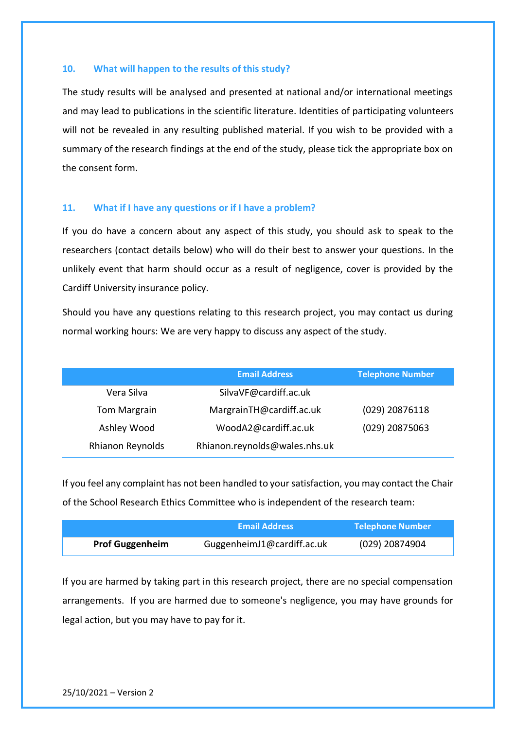#### **10. What will happen to the results of this study?**

The study results will be analysed and presented at national and/or international meetings and may lead to publications in the scientific literature. Identities of participating volunteers will not be revealed in any resulting published material. If you wish to be provided with a summary of the research findings at the end of the study, please tick the appropriate box on the consent form.

#### **11. What if I have any questions or if I have a problem?**

If you do have a concern about any aspect of this study, you should ask to speak to the researchers (contact details below) who will do their best to answer your questions. In the unlikely event that harm should occur as a result of negligence, cover is provided by the Cardiff University insurance policy.

Should you have any questions relating to this research project, you may contact us during normal working hours: We are very happy to discuss any aspect of the study.

|                     | <b>Email Address</b>          | <b>Telephone Number</b> |
|---------------------|-------------------------------|-------------------------|
| Vera Silva          | SilvaVF@cardiff.ac.uk         |                         |
| <b>Tom Margrain</b> | MargrainTH@cardiff.ac.uk      | (029) 20876118          |
| Ashley Wood         | WoodA2@cardiff.ac.uk          | (029) 20875063          |
| Rhianon Reynolds    | Rhianon.reynolds@wales.nhs.uk |                         |

If you feel any complaint has not been handled to your satisfaction, you may contact the Chair of the School Research Ethics Committee who is independent of the research team:

|                        | <b>Email Address</b>       | <b>Telephone Number</b> |
|------------------------|----------------------------|-------------------------|
| <b>Prof Guggenheim</b> | GuggenheimJ1@cardiff.ac.uk | (029) 20874904          |

If you are harmed by taking part in this research project, there are no special compensation arrangements. If you are harmed due to someone's negligence, you may have grounds for legal action, but you may have to pay for it.